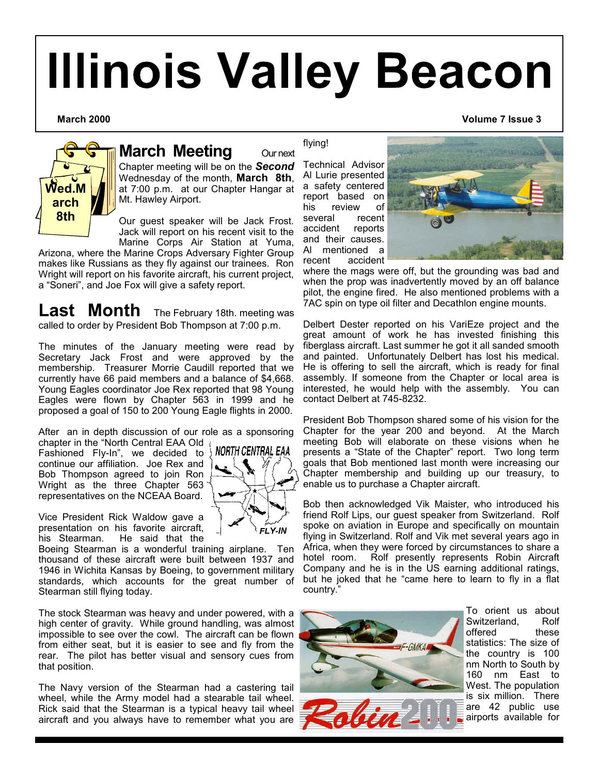# **Illinois Valley Beacon**



# **March Meeting Our next**

Chapter meeting will be on the *Second* Wednesday of the month, **March 8th**, at 7:00 p.m. at our Chapter Hangar at Mt. Hawley Airport.

Our guest speaker will be Jack Frost. Jack will report on his recent visit to the Marine Corps Air Station at Yuma,

Arizona, where the Marine Crops Adversary Fighter Group makes like Russians as they fly against our trainees. Ron Wright will report on his favorite aircraft, his current project, a "Soneri", and Joe Fox will give a safety report.

Last Month The February 18th. meeting was called to order by President Bob Thompson at 7:00 p.m.

The minutes of the January meeting were read by Secretary Jack Frost and were approved by the membership. Treasurer Morrie Caudill reported that we currently have 66 paid members and a balance of \$4,668. Young Eagles coordinator Joe Rex reported that 98 Young Eagles were flown by Chapter 563 in 1999 and he proposed a goal of 150 to 200 Young Eagle flights in 2000.

After an in depth discussion of our role as a sponsoring chapter in the "North Central EAA Old

NORTH CENTRAL EAA

Fashioned Fly-In", we decided to continue our affiliation. Joe Rex and Bob Thompson agreed to join Ron Wright as the three Chapter 563 representatives on the NCEAA Board.

Vice President Rick Waldow gave a presentation on his favorite aircraft,<br>his Stearman. He said that the He said that the

Boeing Stearman is a wonderful training airplane. Ten thousand of these aircraft were built between 1937 and 1946 in Wichita Kansas by Boeing, to government military standards, which accounts for the great number of Stearman still flying today.

The stock Stearman was heavy and under powered, with a high center of gravity. While ground handling, was almost impossible to see over the cowl. The aircraft can be flown from either seat, but it is easier to see and fly from the rear. The pilot has better visual and sensory cues from that position.

The Navy version of the Stearman had a castering tail wheel, while the Army model had a stearable tail wheel. Rick said that the Stearman is a typical heavy tail wheel aircraft and you always have to remember what you are

### flying!

Technical Advisor Al Lurie presented a safety centered report based on his review of<br>several recent several accident reports and their causes. Al mentioned a recent accident



where the mags were off, but the grounding was bad and when the prop was inadvertently moved by an off balance pilot, the engine fired. He also mentioned problems with a 7AC spin on type oil filter and Decathlon engine mounts.

Delbert Dester reported on his VariEze project and the great amount of work he has invested finishing this fiberglass aircraft. Last summer he got it all sanded smooth and painted. Unfortunately Delbert has lost his medical. He is offering to sell the aircraft, which is ready for final assembly. If someone from the Chapter or local area is interested, he would help with the assembly. You can contact Delbert at 745-8232.

President Bob Thompson shared some of his vision for the Chapter for the year 200 and beyond. At the March meeting Bob will elaborate on these visions when he presents a "State of the Chapter" report. Two long term goals that Bob mentioned last month were increasing our Chapter membership and building up our treasury, to enable us to purchase a Chapter aircraft.

Bob then acknowledged Vik Maister, who introduced his friend Rolf Lips, our guest speaker from Switzerland. Rolf spoke on aviation in Europe and specifically on mountain flying in Switzerland. Rolf and Vik met several years ago in Africa, when they were forced by circumstances to share a hotel room. Rolf presently represents Robin Aircraft Company and he is in the US earning additional ratings, but he joked that he "came here to learn to fly in a flat country."



To orient us about<br>Switzerland Rolf Switzerland, offered these statistics: The size of the country is 100 nm North to South by 160 nm East to West. The population is six million. There are 42 public use airports available for

**March 2000 Volume 7 Issue 3**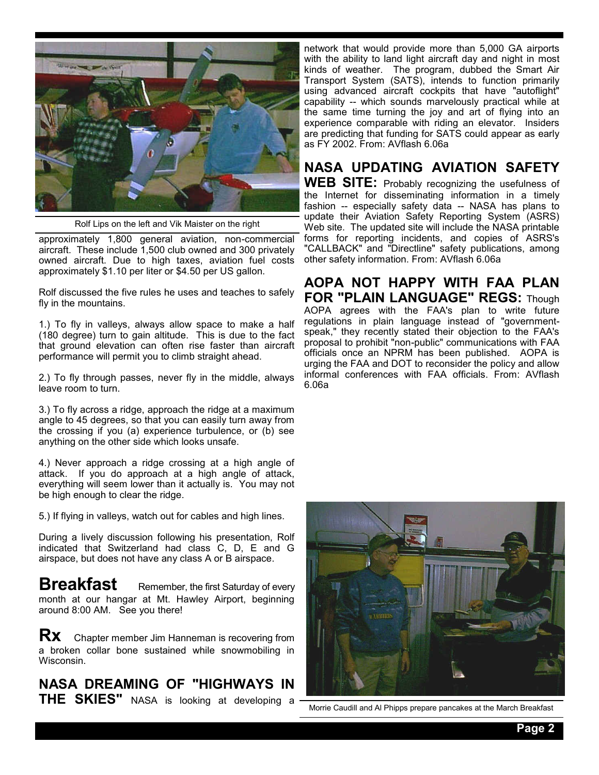

Rolf Lips on the left and Vik Maister on the right

approximately 1,800 general aviation, non-commercial aircraft. These include 1,500 club owned and 300 privately owned aircraft. Due to high taxes, aviation fuel costs approximately \$1.10 per liter or \$4.50 per US gallon.

Rolf discussed the five rules he uses and teaches to safely fly in the mountains.

1.) To fly in valleys, always allow space to make a half (180 degree) turn to gain altitude. This is due to the fact that ground elevation can often rise faster than aircraft performance will permit you to climb straight ahead.

2.) To fly through passes, never fly in the middle, always leave room to turn.

3.) To fly across a ridge, approach the ridge at a maximum angle to 45 degrees, so that you can easily turn away from the crossing if you (a) experience turbulence, or (b) see anything on the other side which looks unsafe.

4.) Never approach a ridge crossing at a high angle of attack. If you do approach at a high angle of attack, everything will seem lower than it actually is. You may not be high enough to clear the ridge.

5.) If flying in valleys, watch out for cables and high lines.

During a lively discussion following his presentation, Rolf indicated that Switzerland had class C, D, E and G airspace, but does not have any class A or B airspace.

**Breakfast** Remember, the first Saturday of every month at our hangar at Mt. Hawley Airport, beginning around 8:00 AM. See you there!

**RX** Chapter member Jim Hanneman is recovering from a broken collar bone sustained while snowmobiling in Wisconsin.

**NASA DREAMING OF "HIGHWAYS IN THE SKIES"** NASA is looking at developing a

network that would provide more than 5,000 GA airports with the ability to land light aircraft day and night in most kinds of weather. The program, dubbed the Smart Air Transport System (SATS), intends to function primarily using advanced aircraft cockpits that have "autoflight" capability -- which sounds marvelously practical while at the same time turning the joy and art of flying into an experience comparable with riding an elevator. Insiders are predicting that funding for SATS could appear as early as FY 2002. From: AVflash 6.06a

# **NASA UPDATING AVIATION SAFETY**

**WEB SITE:** Probably recognizing the usefulness of the Internet for disseminating information in a timely fashion -- especially safety data -- NASA has plans to update their Aviation Safety Reporting System (ASRS) Web site. The updated site will include the NASA printable forms for reporting incidents, and copies of ASRS's "CALLBACK" and "Directline" safety publications, among other safety information. From: AVflash 6.06a

**AOPA NOT HAPPY WITH FAA PLAN FOR "PLAIN LANGUAGE" REGS:** Though AOPA agrees with the FAA's plan to write future regulations in plain language instead of "governmentspeak," they recently stated their objection to the FAA's proposal to prohibit "non-public" communications with FAA officials once an NPRM has been published. AOPA is urging the FAA and DOT to reconsider the policy and allow informal conferences with FAA officials. From: AVflash 6.06a



Morrie Caudill and Al Phipps prepare pancakes at the March Breakfast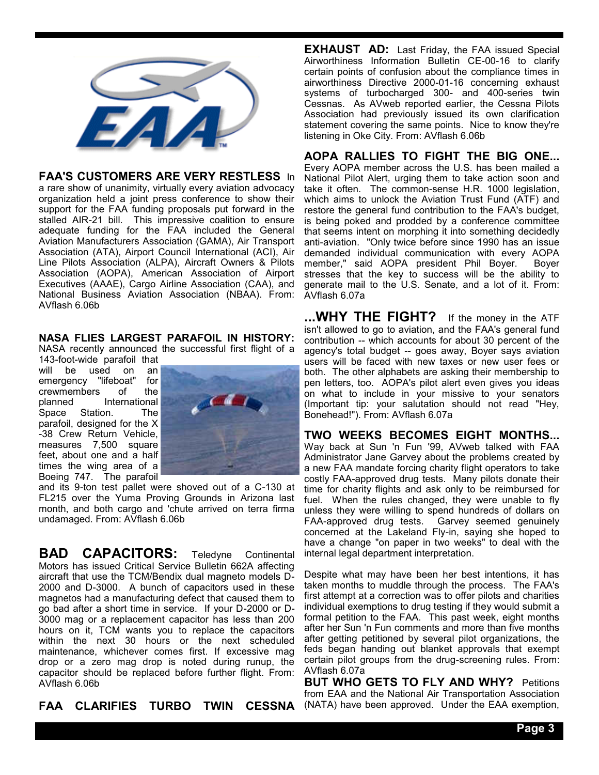

# **FAA'S CUSTOMERS ARE VERY RESTLESS** In

a rare show of unanimity, virtually every aviation advocacy organization held a joint press conference to show their support for the FAA funding proposals put forward in the stalled AIR-21 bill. This impressive coalition to ensure adequate funding for the FAA included the General Aviation Manufacturers Association (GAMA), Air Transport Association (ATA), Airport Council International (ACI), Air Line Pilots Association (ALPA), Aircraft Owners & Pilots Association (AOPA), American Association of Airport Executives (AAAE), Cargo Airline Association (CAA), and National Business Aviation Association (NBAA). From: AVflash 6.06b

**NASA FLIES LARGEST PARAFOIL IN HISTORY:**  NASA recently announced the successful first flight of a

143-foot-wide parafoil that will be used on an emergency "lifeboat" for crewmembers of the<br>planned International **International** Space Station. The parafoil, designed for the X -38 Crew Return Vehicle, measures 7,500 square feet, about one and a half times the wing area of a Boeing 747. The parafoil



and its 9-ton test pallet were shoved out of a C-130 at FL215 over the Yuma Proving Grounds in Arizona last month, and both cargo and 'chute arrived on terra firma undamaged. From: AVflash 6.06b

**BAD CAPACITORS:** Teledyne Continental Motors has issued Critical Service Bulletin 662A affecting aircraft that use the TCM/Bendix dual magneto models D-2000 and D-3000. A bunch of capacitors used in these magnetos had a manufacturing defect that caused them to go bad after a short time in service. If your D-2000 or D-3000 mag or a replacement capacitor has less than 200 hours on it, TCM wants you to replace the capacitors within the next 30 hours or the next scheduled maintenance, whichever comes first. If excessive mag drop or a zero mag drop is noted during runup, the capacitor should be replaced before further flight. From: AVflash 6.06b

**FAA CLARIFIES TURBO TWIN** 

**EXHAUST AD:** Last Friday, the FAA issued Special Airworthiness Information Bulletin CE-00-16 to clarify certain points of confusion about the compliance times in airworthiness Directive 2000-01-16 concerning exhaust systems of turbocharged 300- and 400-series twin Cessnas. As AVweb reported earlier, the Cessna Pilots Association had previously issued its own clarification statement covering the same points. Nice to know they're listening in Oke City. From: AVflash 6.06b

# **AOPA RALLIES TO FIGHT THE BIG ONE...**

Every AOPA member across the U.S. has been mailed a National Pilot Alert, urging them to take action soon and take it often. The common-sense H.R. 1000 legislation, which aims to unlock the Aviation Trust Fund (ATF) and restore the general fund contribution to the FAA's budget, is being poked and prodded by a conference committee that seems intent on morphing it into something decidedly anti-aviation. "Only twice before since 1990 has an issue demanded individual communication with every AOPA member," said AOPA president Phil Boyer. Boyer stresses that the key to success will be the ability to generate mail to the U.S. Senate, and a lot of it. From: AVflash 6.07a

**...WHY THE FIGHT?** If the money in the ATF isn't allowed to go to aviation, and the FAA's general fund contribution -- which accounts for about 30 percent of the agency's total budget -- goes away, Boyer says aviation users will be faced with new taxes or new user fees or both. The other alphabets are asking their membership to pen letters, too. AOPA's pilot alert even gives you ideas on what to include in your missive to your senators (Important tip: your salutation should not read "Hey, Bonehead!"). From: AVflash 6.07a

**TWO WEEKS BECOMES EIGHT MONTHS...**  Way back at Sun 'n Fun '99, AVweb talked with FAA Administrator Jane Garvey about the problems created by a new FAA mandate forcing charity flight operators to take costly FAA-approved drug tests. Many pilots donate their time for charity flights and ask only to be reimbursed for fuel. When the rules changed, they were unable to fly unless they were willing to spend hundreds of dollars on FAA-approved drug tests. Garvey seemed genuinely concerned at the Lakeland Fly-in, saying she hoped to have a change "on paper in two weeks" to deal with the internal legal department interpretation.

Despite what may have been her best intentions, it has taken months to muddle through the process. The FAA's first attempt at a correction was to offer pilots and charities individual exemptions to drug testing if they would submit a formal petition to the FAA. This past week, eight months after her Sun 'n Fun comments and more than five months after getting petitioned by several pilot organizations, the feds began handing out blanket approvals that exempt certain pilot groups from the drug-screening rules. From: AVflash 6.07a

**BUT WHO GETS TO FLY AND WHY?** Petitions from EAA and the National Air Transportation Association CESSNA (NATA) have been approved. Under the EAA exemption,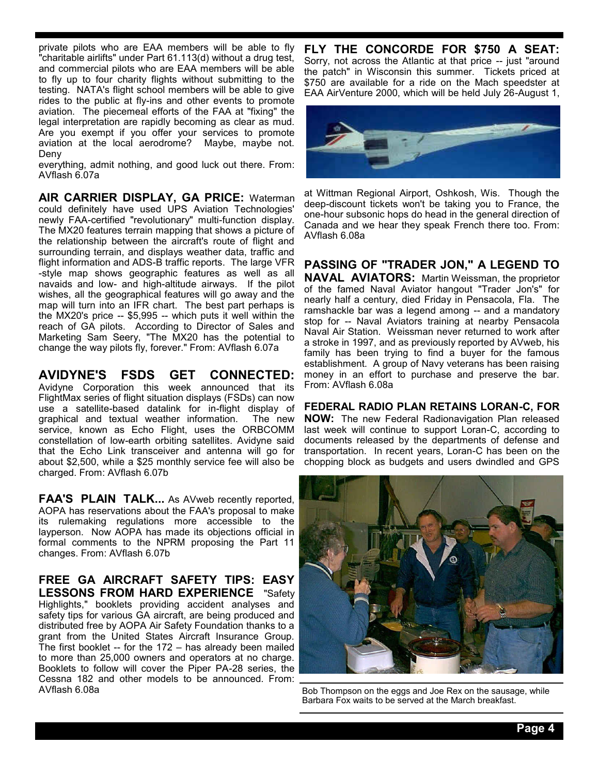private pilots who are EAA members will be able to fly "charitable airlifts" under Part 61.113(d) without a drug test, and commercial pilots who are EAA members will be able to fly up to four charity flights without submitting to the testing. NATA's flight school members will be able to give rides to the public at fly-ins and other events to promote aviation. The piecemeal efforts of the FAA at "fixing" the legal interpretation are rapidly becoming as clear as mud. Are you exempt if you offer your services to promote aviation at the local aerodrome? Maybe, maybe not. Deny

everything, admit nothing, and good luck out there. From: AVflash 6.07a

**AIR CARRIER DISPLAY, GA PRICE:** Waterman could definitely have used UPS Aviation Technologies' newly FAA-certified "revolutionary" multi-function display. The MX20 features terrain mapping that shows a picture of the relationship between the aircraft's route of flight and surrounding terrain, and displays weather data, traffic and flight information and ADS-B traffic reports. The large VFR -style map shows geographic features as well as all navaids and low- and high-altitude airways. If the pilot wishes, all the geographical features will go away and the map will turn into an IFR chart. The best part perhaps is the MX20's price -- \$5,995 -- which puts it well within the reach of GA pilots. According to Director of Sales and Marketing Sam Seery, "The MX20 has the potential to change the way pilots fly, forever." From: AVflash 6.07a

**AVIDYNE'S FSDS GET CONNECTED:**  Avidyne Corporation this week announced that its FlightMax series of flight situation displays (FSDs) can now use a satellite-based datalink for in-flight display of graphical and textual weather information. service, known as Echo Flight, uses the ORBCOMM constellation of low-earth orbiting satellites. Avidyne said that the Echo Link transceiver and antenna will go for about \$2,500, while a \$25 monthly service fee will also be charged. From: AVflash 6.07b

**FAA'S PLAIN TALK...** As AVweb recently reported, AOPA has reservations about the FAA's proposal to make its rulemaking regulations more accessible to the layperson. Now AOPA has made its objections official in formal comments to the NPRM proposing the Part 11 changes. From: AVflash 6.07b

**FREE GA AIRCRAFT SAFETY TIPS: EASY LESSONS FROM HARD EXPERIENCE** "Safety Highlights," booklets providing accident analyses and safety tips for various GA aircraft, are being produced and distributed free by AOPA Air Safety Foundation thanks to a grant from the United States Aircraft Insurance Group. The first booklet -- for the 172 – has already been mailed to more than 25,000 owners and operators at no charge. Booklets to follow will cover the Piper PA-28 series, the Cessna 182 and other models to be announced. From:<br>AVflash 6.08a

**FLY THE CONCORDE FOR \$750 A SEAT:**  Sorry, not across the Atlantic at that price -- just "around the patch" in Wisconsin this summer. Tickets priced at \$750 are available for a ride on the Mach speedster at EAA AirVenture 2000, which will be held July 26-August 1,



at Wittman Regional Airport, Oshkosh, Wis. Though the deep-discount tickets won't be taking you to France, the one-hour subsonic hops do head in the general direction of Canada and we hear they speak French there too. From: AVflash 6.08a

**PASSING OF "TRADER JON," A LEGEND TO NAVAL AVIATORS:** Martin Weissman, the proprietor of the famed Naval Aviator hangout "Trader Jon's" for nearly half a century, died Friday in Pensacola, Fla. The ramshackle bar was a legend among -- and a mandatory stop for -- Naval Aviators training at nearby Pensacola Naval Air Station. Weissman never returned to work after a stroke in 1997, and as previously reported by AVweb, his family has been trying to find a buyer for the famous establishment. A group of Navy veterans has been raising money in an effort to purchase and preserve the bar. From: AVflash 6.08a

**FEDERAL RADIO PLAN RETAINS LORAN-C, FOR NOW:** The new Federal Radionavigation Plan released last week will continue to support Loran-C, according to documents released by the departments of defense and transportation. In recent years, Loran-C has been on the chopping block as budgets and users dwindled and GPS



Bob Thompson on the eggs and Joe Rex on the sausage, while Barbara Fox waits to be served at the March breakfast.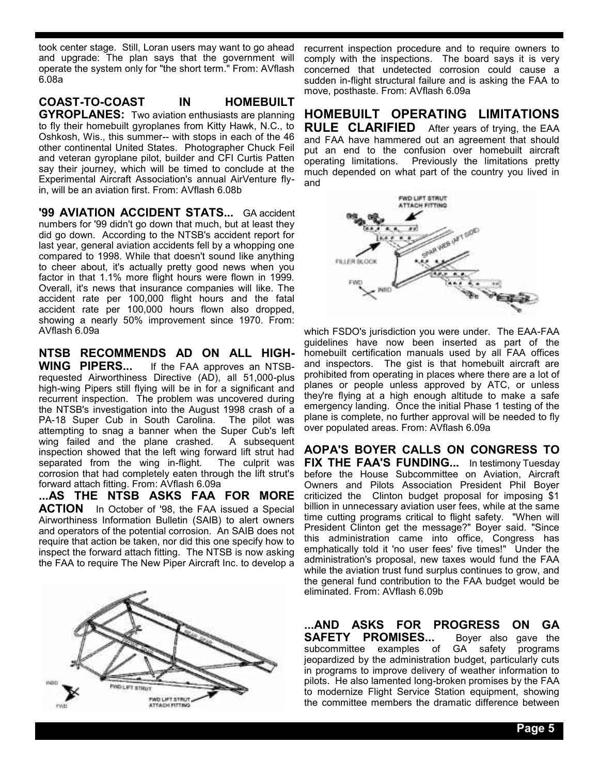took center stage. Still, Loran users may want to go ahead and upgrade: The plan says that the government will operate the system only for "the short term." From: AVflash 6.08a

**COAST-TO-COAST IN HOMEBUILT GYROPLANES:** Two aviation enthusiasts are planning to fly their homebuilt gyroplanes from Kitty Hawk, N.C., to Oshkosh, Wis., this summer-- with stops in each of the 46 other continental United States. Photographer Chuck Feil and veteran gyroplane pilot, builder and CFI Curtis Patten say their journey, which will be timed to conclude at the Experimental Aircraft Association's annual AirVenture flyin, will be an aviation first. From: AVflash 6.08b

**'99 AVIATION ACCIDENT STATS...** GA accident numbers for '99 didn't go down that much, but at least they did go down. According to the NTSB's accident report for last year, general aviation accidents fell by a whopping one compared to 1998. While that doesn't sound like anything to cheer about, it's actually pretty good news when you factor in that 1.1% more flight hours were flown in 1999. Overall, it's news that insurance companies will like. The accident rate per 100,000 flight hours and the fatal accident rate per 100,000 hours flown also dropped, showing a nearly 50% improvement since 1970. From: AVflash 6.09a

**NTSB RECOMMENDS AD ON ALL HIGH-**If the FAA approves an NTSBrequested Airworthiness Directive (AD), all 51,000-plus high-wing Pipers still flying will be in for a significant and recurrent inspection. The problem was uncovered during the NTSB's investigation into the August 1998 crash of a PA-18 Super Cub in South Carolina. The pilot was attempting to snag a banner when the Super Cub's left wing failed and the plane crashed. A subsequent inspection showed that the left wing forward lift strut had separated from the wing in-flight. The culprit was corrosion that had completely eaten through the lift strut's forward attach fitting. From: AVflash 6.09a

**...AS THE NTSB ASKS FAA FOR MORE ACTION** In October of '98, the FAA issued a Special Airworthiness Information Bulletin (SAIB) to alert owners and operators of the potential corrosion. An SAIB does not require that action be taken, nor did this one specify how to inspect the forward attach fitting. The NTSB is now asking the FAA to require The New Piper Aircraft Inc. to develop a



recurrent inspection procedure and to require owners to comply with the inspections. The board says it is very concerned that undetected corrosion could cause a sudden in-flight structural failure and is asking the FAA to move, posthaste. From: AVflash 6.09a

**HOMEBUILT OPERATING LIMITATIONS RULE CLARIFIED** After years of trying, the EAA and FAA have hammered out an agreement that should put an end to the confusion over homebuilt aircraft operating limitations. Previously the limitations pretty much depended on what part of the country you lived in and



which FSDO's jurisdiction you were under. The EAA-FAA guidelines have now been inserted as part of the homebuilt certification manuals used by all FAA offices and inspectors. The gist is that homebuilt aircraft are prohibited from operating in places where there are a lot of planes or people unless approved by ATC, or unless they're flying at a high enough altitude to make a safe emergency landing. Once the initial Phase 1 testing of the plane is complete, no further approval will be needed to fly over populated areas. From: AVflash 6.09a

**AOPA'S BOYER CALLS ON CONGRESS TO FIX THE FAA'S FUNDING...** In testimony Tuesday before the House Subcommittee on Aviation, Aircraft Owners and Pilots Association President Phil Boyer criticized the Clinton budget proposal for imposing \$1 billion in unnecessary aviation user fees, while at the same time cutting programs critical to flight safety. "When will President Clinton get the message?" Boyer said. "Since this administration came into office, Congress has emphatically told it 'no user fees' five times!" Under the administration's proposal, new taxes would fund the FAA while the aviation trust fund surplus continues to grow, and the general fund contribution to the FAA budget would be eliminated. From: AVflash 6.09b

**...AND ASKS FOR PROGRESS ON GA SAFETY PROMISES...** Boyer also gave the subcommittee examples of GA safety programs jeopardized by the administration budget, particularly cuts in programs to improve delivery of weather information to pilots. He also lamented long-broken promises by the FAA to modernize Flight Service Station equipment, showing the committee members the dramatic difference between